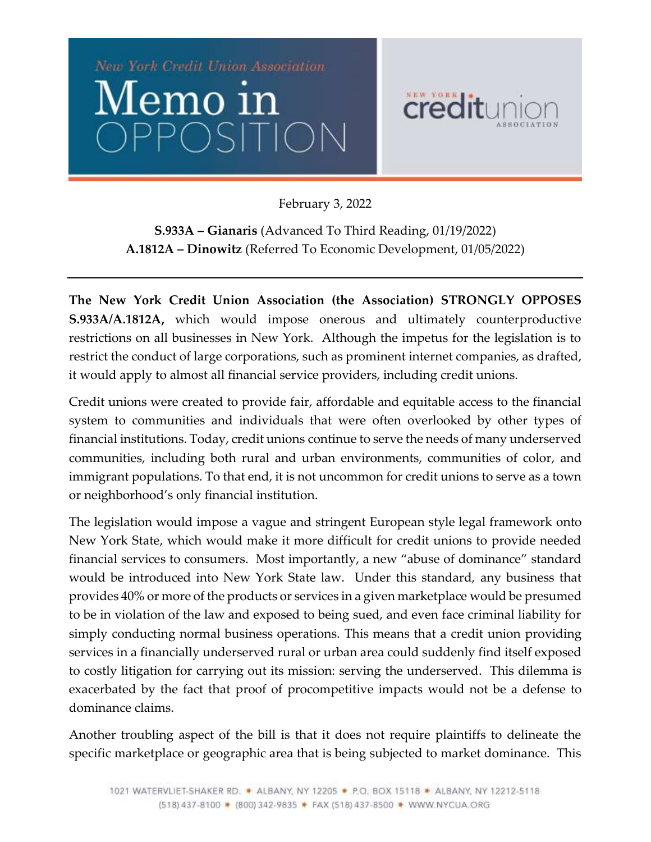

February 3, 2022

**S.933A – Gianaris** (Advanced To Third Reading, 01/19/2022) **A.1812A – Dinowitz** (Referred To Economic Development, 01/05/2022)

**The New York Credit Union Association (the Association) STRONGLY OPPOSES S.933A/A.1812A,** which would impose onerous and ultimately counterproductive restrictions on all businesses in New York. Although the impetus for the legislation is to restrict the conduct of large corporations, such as prominent internet companies, as drafted, it would apply to almost all financial service providers, including credit unions.

Credit unions were created to provide fair, affordable and equitable access to the financial system to communities and individuals that were often overlooked by other types of financial institutions. Today, credit unions continue to serve the needs of many underserved communities, including both rural and urban environments, communities of color, and immigrant populations. To that end, it is not uncommon for credit unions to serve as a town or neighborhood's only financial institution.

The legislation would impose a vague and stringent European style legal framework onto New York State, which would make it more difficult for credit unions to provide needed financial services to consumers. Most importantly, a new "abuse of dominance" standard would be introduced into New York State law. Under this standard, any business that provides 40% or more of the products or services in a given marketplace would be presumed to be in violation of the law and exposed to being sued, and even face criminal liability for simply conducting normal business operations. This means that a credit union providing services in a financially underserved rural or urban area could suddenly find itself exposed to costly litigation for carrying out its mission: serving the underserved. This dilemma is exacerbated by the fact that proof of procompetitive impacts would not be a defense to dominance claims.

Another troubling aspect of the bill is that it does not require plaintiffs to delineate the specific marketplace or geographic area that is being subjected to market dominance. This